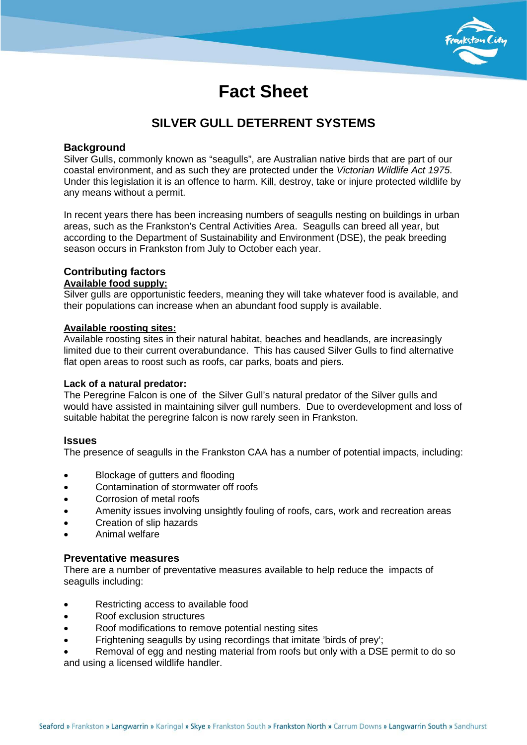

# **Fact Sheet**

## **SILVER GULL DETERRENT SYSTEMS**

### **Background**

Silver Gulls, commonly known as "seagulls", are Australian native birds that are part of our coastal environment, and as such they are protected under the *Victorian Wildlife Act 1975*. Under this legislation it is an offence to harm. Kill, destroy, take or injure protected wildlife by any means without a permit.

In recent years there has been increasing numbers of seagulls nesting on buildings in urban areas, such as the Frankston's Central Activities Area. Seagulls can breed all year, but according to the Department of Sustainability and Environment (DSE), the peak breeding season occurs in Frankston from July to October each year.

# **Contributing factors**

## **Available food supply:**

Silver gulls are opportunistic feeders, meaning they will take whatever food is available, and their populations can increase when an abundant food supply is available.

#### **Available roosting sites:**

Available roosting sites in their natural habitat, beaches and headlands, are increasingly limited due to their current overabundance. This has caused Silver Gulls to find alternative flat open areas to roost such as roofs, car parks, boats and piers.

### **Lack of a natural predator:**

The Peregrine Falcon is one of the Silver Gull's natural predator of the Silver gulls and would have assisted in maintaining silver gull numbers. Due to overdevelopment and loss of suitable habitat the peregrine falcon is now rarely seen in Frankston.

### **Issues**

The presence of seagulls in the Frankston CAA has a number of potential impacts, including:

- Blockage of gutters and flooding
- Contamination of stormwater off roofs
- Corrosion of metal roofs
- Amenity issues involving unsightly fouling of roofs, cars, work and recreation areas
- Creation of slip hazards
- Animal welfare

### **Preventative measures**

There are a number of preventative measures available to help reduce the impacts of seagulls including:

- Restricting access to available food
- Roof exclusion structures
- Roof modifications to remove potential nesting sites
- Frightening seagulls by using recordings that imitate 'birds of prey';
- Removal of egg and nesting material from roofs but only with a DSE permit to do so and using a licensed wildlife handler.